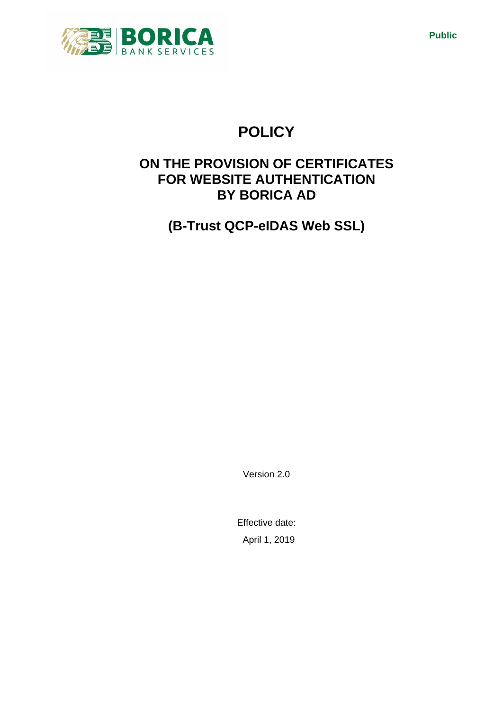

# **POLICY**

# **ON THE PROVISION OF CERTIFICATES FOR WEBSITE AUTHENTICATION BY BORICA AD**

**(B-Trust QCP-eIDAS Web SSL)**

Version 2.0

Effective date: April 1, 2019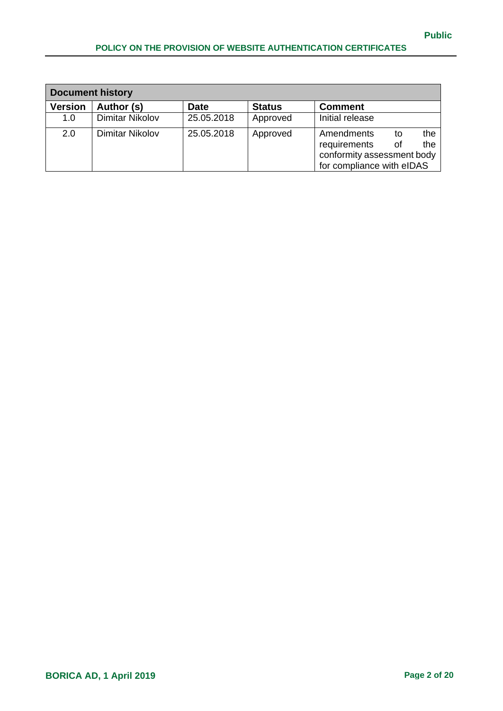| <b>Document history</b> |                        |             |               |                            |    |     |
|-------------------------|------------------------|-------------|---------------|----------------------------|----|-----|
| <b>Version</b>          | Author (s)             | <b>Date</b> | <b>Status</b> | <b>Comment</b>             |    |     |
| 1.0                     | <b>Dimitar Nikolov</b> | 25.05.2018  | Approved      | Initial release            |    |     |
| 2.0                     | Dimitar Nikolov        | 25.05.2018  | Approved      | Amendments                 | to | the |
|                         |                        |             |               | requirements               | 0f | the |
|                         |                        |             |               | conformity assessment body |    |     |
|                         |                        |             |               | for compliance with eIDAS  |    |     |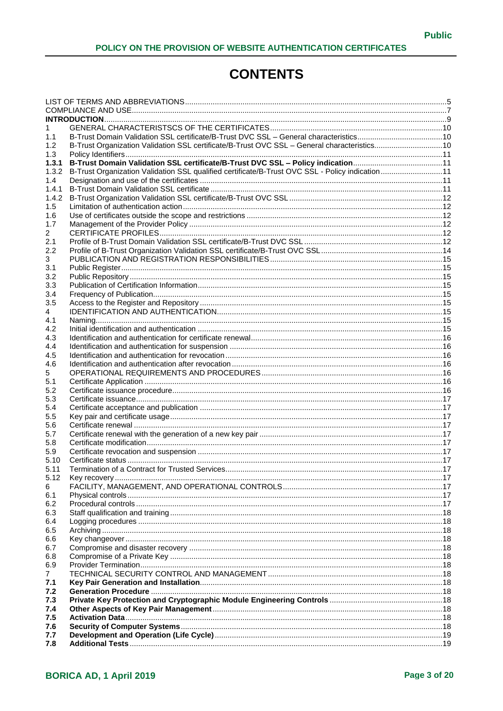# **CONTENTS**

| 1            |                                                                                                 |  |
|--------------|-------------------------------------------------------------------------------------------------|--|
| 1.1          |                                                                                                 |  |
| 1.2          | B-Trust Organization Validation SSL certificate/B-Trust OVC SSL - General characteristics10     |  |
| 1.3          |                                                                                                 |  |
| 1.3.1        |                                                                                                 |  |
| 1.3.2        | B-Trust Organization Validation SSL qualified certificate/B-Trust OVC SSL - Policy indication11 |  |
| 1.4          |                                                                                                 |  |
| 1.4.1        |                                                                                                 |  |
| 1.4.2        |                                                                                                 |  |
| 1.5          |                                                                                                 |  |
| 1.6          |                                                                                                 |  |
| 1.7          |                                                                                                 |  |
| 2            |                                                                                                 |  |
| 2.1          |                                                                                                 |  |
| 2.2          |                                                                                                 |  |
| 3            |                                                                                                 |  |
| 3.1          |                                                                                                 |  |
| 3.2          |                                                                                                 |  |
| 3.3          |                                                                                                 |  |
| 3.4          |                                                                                                 |  |
| 3.5          |                                                                                                 |  |
| 4            |                                                                                                 |  |
| 4.1          |                                                                                                 |  |
| 4.2          |                                                                                                 |  |
| 4.3          |                                                                                                 |  |
| 4.4          |                                                                                                 |  |
| 4.5          |                                                                                                 |  |
| 4.6          |                                                                                                 |  |
|              |                                                                                                 |  |
| 5.1          |                                                                                                 |  |
| 5.2          |                                                                                                 |  |
| 5.3          |                                                                                                 |  |
| 5.4<br>5.5   |                                                                                                 |  |
| 5.6          |                                                                                                 |  |
| 5.7          |                                                                                                 |  |
| 5.8          |                                                                                                 |  |
| 5.9          |                                                                                                 |  |
| 5.10         |                                                                                                 |  |
| 5.11         |                                                                                                 |  |
| 5.12         |                                                                                                 |  |
| 6            |                                                                                                 |  |
| 6.1          |                                                                                                 |  |
| 6.2          |                                                                                                 |  |
| 6.3          |                                                                                                 |  |
| 6.4          |                                                                                                 |  |
| 6.5          |                                                                                                 |  |
| 6.6          |                                                                                                 |  |
| 6.7          |                                                                                                 |  |
| 6.8          |                                                                                                 |  |
| 6.9          |                                                                                                 |  |
| $\mathbf{7}$ |                                                                                                 |  |
| 7.1          |                                                                                                 |  |
| 7.2          |                                                                                                 |  |
| 7.3          |                                                                                                 |  |
| 7.4          |                                                                                                 |  |
| 7.5          |                                                                                                 |  |
| 7.6          |                                                                                                 |  |
| 7.7          |                                                                                                 |  |
| 7.8          |                                                                                                 |  |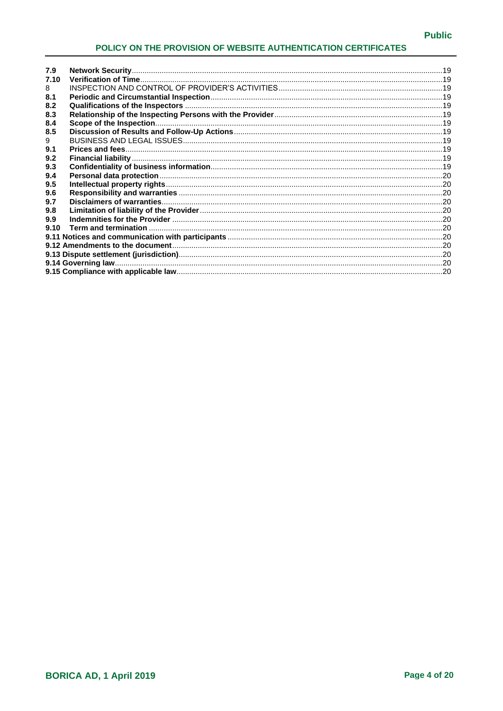| 7.9  |  |
|------|--|
| 7.10 |  |
| 8    |  |
| 8.1  |  |
| 8.2  |  |
| 8.3  |  |
| 8.4  |  |
| 8.5  |  |
| 9    |  |
| 9.1  |  |
| 9.2  |  |
| 9.3  |  |
| 9.4  |  |
| 9.5  |  |
| 9.6  |  |
| 9.7  |  |
| 9.8  |  |
| 9.9  |  |
| 9.10 |  |
|      |  |
|      |  |
|      |  |
|      |  |
|      |  |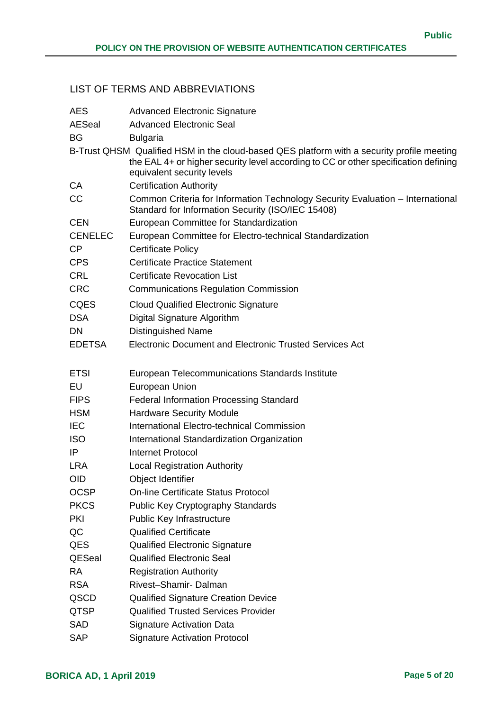# <span id="page-4-0"></span>LIST OF TERMS AND ABBREVIATIONS

| <b>AES</b>     | <b>Advanced Electronic Signature</b>                                                                                                                                                                            |
|----------------|-----------------------------------------------------------------------------------------------------------------------------------------------------------------------------------------------------------------|
| <b>AESeal</b>  | <b>Advanced Electronic Seal</b>                                                                                                                                                                                 |
| <b>BG</b>      | <b>Bulgaria</b>                                                                                                                                                                                                 |
|                | B-Trust QHSM Qualified HSM in the cloud-based QES platform with a security profile meeting<br>the EAL 4+ or higher security level according to CC or other specification defining<br>equivalent security levels |
| CA             | <b>Certification Authority</b>                                                                                                                                                                                  |
| CC             | Common Criteria for Information Technology Security Evaluation - International<br>Standard for Information Security (ISO/IEC 15408)                                                                             |
| <b>CEN</b>     | European Committee for Standardization                                                                                                                                                                          |
| <b>CENELEC</b> | European Committee for Electro-technical Standardization                                                                                                                                                        |
| CP             | <b>Certificate Policy</b>                                                                                                                                                                                       |
| <b>CPS</b>     | <b>Certificate Practice Statement</b>                                                                                                                                                                           |
| <b>CRL</b>     | <b>Certificate Revocation List</b>                                                                                                                                                                              |
| <b>CRC</b>     | <b>Communications Regulation Commission</b>                                                                                                                                                                     |
| <b>CQES</b>    | <b>Cloud Qualified Electronic Signature</b>                                                                                                                                                                     |
| <b>DSA</b>     | Digital Signature Algorithm                                                                                                                                                                                     |
| DN             | <b>Distinguished Name</b>                                                                                                                                                                                       |
| <b>EDETSA</b>  | Electronic Document and Electronic Trusted Services Act                                                                                                                                                         |
|                |                                                                                                                                                                                                                 |
| <b>ETSI</b>    | European Telecommunications Standards Institute                                                                                                                                                                 |
| EU             | European Union                                                                                                                                                                                                  |
| <b>FIPS</b>    | <b>Federal Information Processing Standard</b>                                                                                                                                                                  |
| <b>HSM</b>     | <b>Hardware Security Module</b>                                                                                                                                                                                 |
| <b>IEC</b>     | International Electro-technical Commission                                                                                                                                                                      |
| <b>ISO</b>     | International Standardization Organization                                                                                                                                                                      |
| IP             | Internet Protocol                                                                                                                                                                                               |
| <b>LRA</b>     | <b>Local Registration Authority</b>                                                                                                                                                                             |
| <b>OID</b>     | Object Identifier                                                                                                                                                                                               |
| <b>OCSP</b>    | <b>On-line Certificate Status Protocol</b>                                                                                                                                                                      |
| <b>PKCS</b>    | <b>Public Key Cryptography Standards</b>                                                                                                                                                                        |
| <b>PKI</b>     | <b>Public Key Infrastructure</b>                                                                                                                                                                                |
| QC             | <b>Qualified Certificate</b>                                                                                                                                                                                    |
| QES            | <b>Qualified Electronic Signature</b>                                                                                                                                                                           |
| <b>QESeal</b>  | <b>Qualified Electronic Seal</b>                                                                                                                                                                                |
| <b>RA</b>      | <b>Registration Authority</b>                                                                                                                                                                                   |
| <b>RSA</b>     | Rivest-Shamir-Dalman                                                                                                                                                                                            |
| QSCD           | <b>Qualified Signature Creation Device</b>                                                                                                                                                                      |
| <b>QTSP</b>    | <b>Qualified Trusted Services Provider</b>                                                                                                                                                                      |
| SAD            | <b>Signature Activation Data</b>                                                                                                                                                                                |
| <b>SAP</b>     | <b>Signature Activation Protocol</b>                                                                                                                                                                            |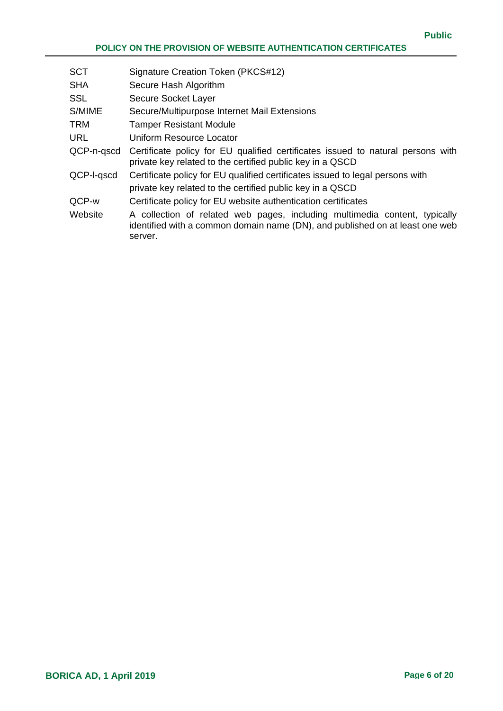| <b>SCT</b> | Signature Creation Token (PKCS#12)                                                                                                                                    |
|------------|-----------------------------------------------------------------------------------------------------------------------------------------------------------------------|
| <b>SHA</b> | Secure Hash Algorithm                                                                                                                                                 |
| <b>SSL</b> | Secure Socket Layer                                                                                                                                                   |
| S/MIME     | Secure/Multipurpose Internet Mail Extensions                                                                                                                          |
| <b>TRM</b> | <b>Tamper Resistant Module</b>                                                                                                                                        |
| <b>URL</b> | Uniform Resource Locator                                                                                                                                              |
| QCP-n-gscd | Certificate policy for EU qualified certificates issued to natural persons with<br>private key related to the certified public key in a QSCD                          |
| QCP-I-qscd | Certificate policy for EU qualified certificates issued to legal persons with                                                                                         |
|            | private key related to the certified public key in a QSCD                                                                                                             |
| QCP-w      | Certificate policy for EU website authentication certificates                                                                                                         |
| Website    | A collection of related web pages, including multimedia content, typically<br>identified with a common domain name (DN), and published on at least one web<br>server. |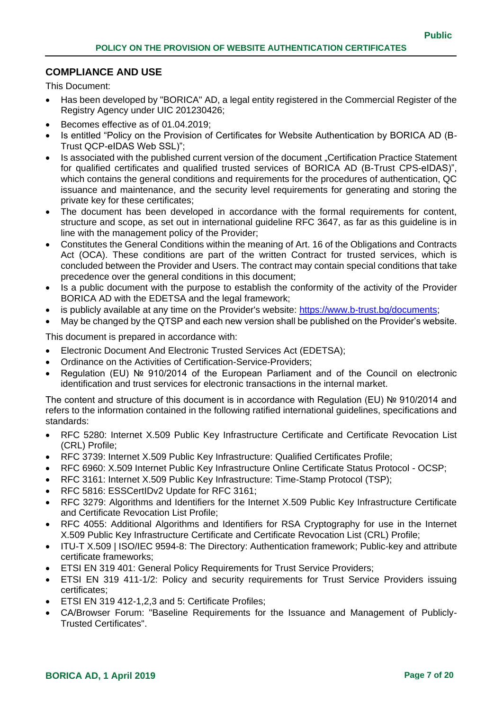#### <span id="page-6-0"></span>**COMPLIANCE AND USE**

This Document:

- Has been developed by "BORICA" AD, a legal entity registered in the Commercial Register of the Registry Agency under UIC 201230426;
- Becomes effective as of 01.04.2019;
- Is entitled "Policy on the Provision of Certificates for Website Authentication by BORICA AD (B-Trust QCP-eIDAS Web SSL)";
- Is associated with the published current version of the document "Certification Practice Statement for qualified certificates and qualified trusted services of BORICA AD (B-Trust CPS-eIDAS)", which contains the general conditions and requirements for the procedures of authentication, QC issuance and maintenance, and the security level requirements for generating and storing the private key for these certificates;
- The document has been developed in accordance with the formal requirements for content, structure and scope, as set out in international guideline RFC 3647, as far as this guideline is in line with the management policy of the Provider;
- Constitutes the General Conditions within the meaning of Art. 16 of the Obligations and Contracts Act (OCA). These conditions are part of the written Contract for trusted services, which is concluded between the Provider and Users. The contract may contain special conditions that take precedence over the general conditions in this document;
- Is a public document with the purpose to establish the conformity of the activity of the Provider BORICA AD with the EDETSA and the legal framework;
- is publicly available at any time on the Provider's website: https://www.b-trust.bg/documents;
- May be changed by the QTSP and each new version shall be published on the Provider's website.

This document is prepared in accordance with:

- Electronic Document And Electronic Trusted Services Act (EDETSA);
- Ordinance on the Activities of Certification-Service-Providers;
- Regulation (EU) № 910/2014 of the European Parliament and of the Council on electronic identification and trust services for electronic transactions in the internal market.

The content and structure of this document is in accordance with Regulation (EU) № 910/2014 and refers to the information contained in the following ratified international guidelines, specifications and standards:

- RFC 5280: Internet X.509 Public Key Infrastructure Certificate and Certificate Revocation List (CRL) Profile;
- RFC 3739: Internet X.509 Public Key Infrastructure: Qualified Certificates Profile;
- RFC 6960: X.509 Internet Public Key Infrastructure Online Certificate Status Protocol OCSP;
- RFC 3161: Internet X.509 Public Key Infrastructure: Time-Stamp Protocol (TSP);
- RFC 5816: ESSCertIDv2 Update for RFC 3161;
- RFC 3279: Algorithms and Identifiers for the Internet X.509 Public Key Infrastructure Certificate and Certificate Revocation List Profile;
- RFC 4055: Additional Algorithms and Identifiers for RSA Cryptography for use in the Internet X.509 Public Key Infrastructure Certificate and Certificate Revocation List (CRL) Profile;
- ITU-T X.509 | ISO/IEC 9594-8: The Directory: Authentication framework; Public-key and attribute certificate frameworks;
- ETSI EN 319 401: General Policy Requirements for Trust Service Providers;
- ETSI EN 319 411-1/2: Policy and security requirements for Trust Service Providers issuing certificates;
- ETSI EN 319 412-1,2,3 and 5: Certificate Profiles;
- CA/Browser Forum: "Baseline Requirements for the Issuance and Management of Publicly-Trusted Certificates".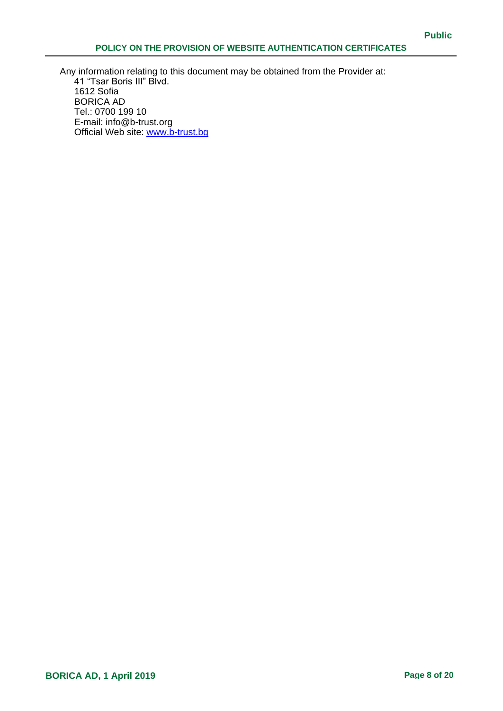Any information relating to this document may be obtained from the Provider at: 41 "Tsar Boris III" Blvd. 1612 Sofia BORICA AD Tel.: 0700 199 10 E-mail: info@b-trust.org Official Web site: www.b-trust.bg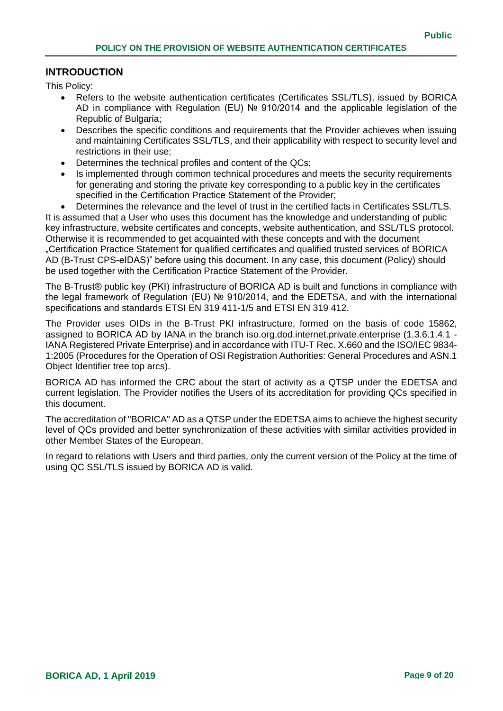#### <span id="page-8-0"></span>**INTRODUCTION**

This Policy:

- Refers to the website authentication certificates (Certificates SSL/TLS), issued by BORICA AD in compliance with Regulation (EU) № 910/2014 and the applicable legislation of the Republic of Bulgaria;
- Describes the specific conditions and requirements that the Provider achieves when issuing and maintaining Certificates SSL/TLS, and their applicability with respect to security level and restrictions in their use;
- Determines the technical profiles and content of the QCs;
- Is implemented through common technical procedures and meets the security requirements for generating and storing the private key corresponding to a public key in the certificates specified in the Certification Practice Statement of the Provider;
- Determines the relevance and the level of trust in the certified facts in Certificates SSL/TLS.

It is assumed that a User who uses this document has the knowledge and understanding of public key infrastructure, website certificates and concepts, website authentication, and SSL/TLS protocol. Otherwise it is recommended to get acquainted with these concepts and with the document "Certification Practice Statement for qualified certificates and qualified trusted services of BORICA AD (B-Trust CPS-eIDAS)" before using this document. In any case, this document (Policy) should be used together with the Certification Practice Statement of the Provider.

The B-Trust® public key (PKI) infrastructure of BORICA AD is built and functions in compliance with the legal framework of Regulation (EU) № 910/2014, and the EDETSA, and with the international specifications and standards ETSI EN 319 411-1/5 and ETSI EN 319 412.

The Provider uses OIDs in the B-Trust PKI infrastructure, formed on the basis of code 15862, assigned to BORICA AD by IANA in the branch iso.org.dod.internet.private.enterprise (1.3.6.1.4.1 - IANA Registered Private Enterprise) and in accordance with ITU-T Rec. X.660 and the ISO/IEC 9834- 1:2005 (Procedures for the Operation of OSI Registration Authorities: General Procedures and ASN.1 Object Identifier tree top arcs).

BORICA AD has informed the CRC about the start of activity as a QTSP under the EDETSA and current legislation. The Provider notifies the Users of its accreditation for providing QCs specified in this document.

The accreditation of "BORICA" AD as a QTSP under the EDETSA aims to achieve the highest security level of QCs provided and better synchronization of these activities with similar activities provided in other Member States of the European.

In regard to relations with Users and third parties, only the current version of the Policy at the time of using QC SSL/TLS issued by BORICA AD is valid.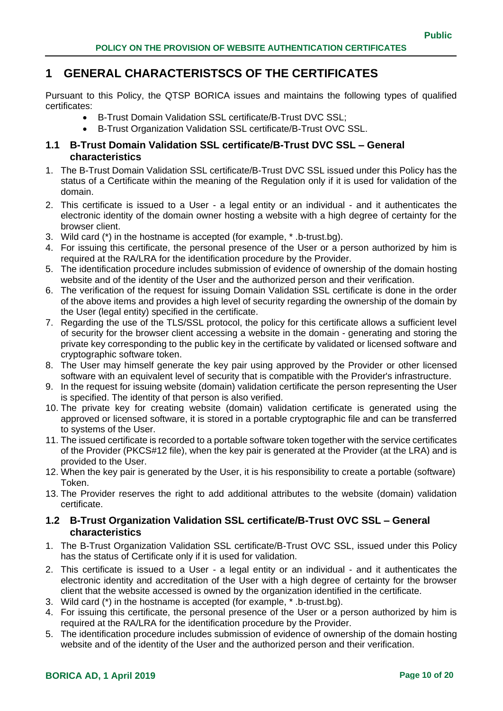# <span id="page-9-0"></span>**1 GENERAL CHARACTERISTSCS OF THE CERTIFICATES**

Pursuant to this Policy, the QTSP BORICA issues and maintains the following types of qualified certificates:

- B-Trust Domain Validation SSL certificate/B-Trust DVC SSL;
- B-Trust Organization Validation SSL certificate/B-Trust OVC SSL.

### <span id="page-9-1"></span>**1.1 B-Trust Domain Validation SSL certificate/B-Trust DVC SSL – General characteristics**

- 1. The B-Trust Domain Validation SSL certificate/B-Trust DVC SSL issued under this Policy has the status of a Certificate within the meaning of the Regulation only if it is used for validation of the domain.
- 2. This certificate is issued to a User a legal entity or an individual and it authenticates the electronic identity of the domain owner hosting a website with a high degree of certainty for the browser client.
- 3. Wild card (\*) in the hostname is accepted (for example, \* .b-trust.bg).
- 4. For issuing this certificate, the personal presence of the User or a person authorized by him is required at the RA/LRA for the identification procedure by the Provider.
- 5. The identification procedure includes submission of evidence of ownership of the domain hosting website and of the identity of the User and the authorized person and their verification.
- 6. The verification of the request for issuing Domain Validation SSL certificate is done in the order of the above items and provides a high level of security regarding the ownership of the domain by the User (legal entity) specified in the certificate.
- 7. Regarding the use of the TLS/SSL protocol, the policy for this certificate allows a sufficient level of security for the browser client accessing a website in the domain - generating and storing the private key corresponding to the public key in the certificate by validated or licensed software and cryptographic software token.
- 8. The User may himself generate the key pair using approved by the Provider or other licensed software with an equivalent level of security that is compatible with the Provider's infrastructure.
- 9. In the request for issuing website (domain) validation certificate the person representing the User is specified. The identity of that person is also verified.
- 10. The private key for creating website (domain) validation certificate is generated using the approved or licensed software, it is stored in a portable cryptographic file and can be transferred to systems of the User.
- 11. The issued certificate is recorded to a portable software token together with the service certificates of the Provider (PKCS#12 file), when the key pair is generated at the Provider (at the LRA) and is provided to the User.
- 12. When the key pair is generated by the User, it is his responsibility to create a portable (software) Token.
- 13. The Provider reserves the right to add additional attributes to the website (domain) validation certificate.

#### <span id="page-9-2"></span>**1.2 B-Trust Organization Validation SSL certificate/B-Trust OVC SSL – General characteristics**

- 1. The B-Trust Organization Validation SSL certificate/B-Trust OVC SSL, issued under this Policy has the status of Certificate only if it is used for validation.
- 2. This certificate is issued to a User a legal entity or an individual and it authenticates the electronic identity and accreditation of the User with a high degree of certainty for the browser client that the website accessed is owned by the organization identified in the certificate.
- 3. Wild card (\*) in the hostname is accepted (for example, \* .b-trust.bg).
- 4. For issuing this certificate, the personal presence of the User or a person authorized by him is required at the RA/LRA for the identification procedure by the Provider.
- 5. The identification procedure includes submission of evidence of ownership of the domain hosting website and of the identity of the User and the authorized person and their verification.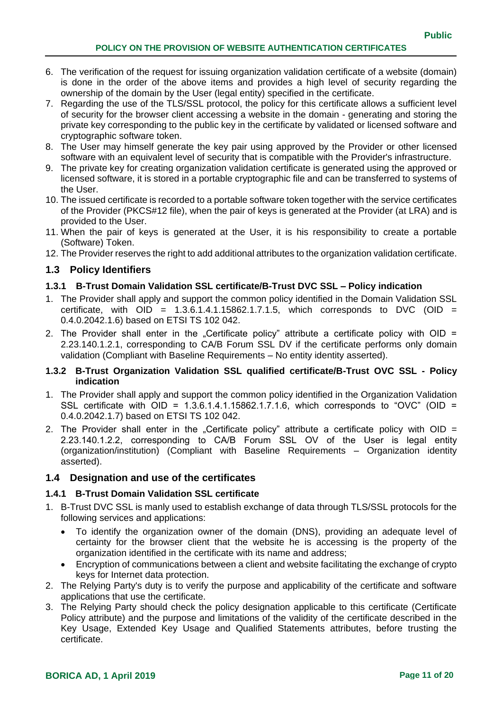- 6. The verification of the request for issuing organization validation certificate of a website (domain) is done in the order of the above items and provides a high level of security regarding the ownership of the domain by the User (legal entity) specified in the certificate.
- 7. Regarding the use of the TLS/SSL protocol, the policy for this certificate allows a sufficient level of security for the browser client accessing a website in the domain - generating and storing the private key corresponding to the public key in the certificate by validated or licensed software and cryptographic software token.
- 8. The User may himself generate the key pair using approved by the Provider or other licensed software with an equivalent level of security that is compatible with the Provider's infrastructure.
- 9. The private key for creating organization validation certificate is generated using the approved or licensed software, it is stored in a portable cryptographic file and can be transferred to systems of the User.
- 10. The issued certificate is recorded to a portable software token together with the service certificates of the Provider (PKCS#12 file), when the pair of keys is generated at the Provider (at LRA) and is provided to the User.
- 11. When the pair of keys is generated at the User, it is his responsibility to create a portable (Software) Token.
- 12. The Provider reserves the right to add additional attributes to the organization validation certificate.

#### <span id="page-10-0"></span>**1.3 Policy Identifiers**

#### <span id="page-10-1"></span>**1.3.1 B-Trust Domain Validation SSL certificate/B-Trust DVC SSL – Policy indication**

- 1. The Provider shall apply and support the common policy identified in the Domain Validation SSL certificate, with  $OD = 1.3.6.1.4.1.15862.1.7.1.5$ , which corresponds to DVC (OID = 0.4.0.2042.1.6) based on ETSI TS 102 042.
- 2. The Provider shall enter in the "Certificate policy" attribute a certificate policy with  $OD =$ 2.23.140.1.2.1, corresponding to CA/B Forum SSL DV if the certificate performs only domain validation (Compliant with Baseline Requirements – No entity identity asserted).

#### <span id="page-10-2"></span>**1.3.2 B-Trust Organization Validation SSL qualified certificate/B-Trust OVC SSL - Policy indication**

- 1. The Provider shall apply and support the common policy identified in the Organization Validation SSL certificate with  $OD = 1.3.6.1.4.1.15862.1.7.1.6$ , which corresponds to "OVC" (OID = 0.4.0.2042.1.7) based on ETSI TS 102 042.
- 2. The Provider shall enter in the "Certificate policy" attribute a certificate policy with OID = 2.23.140.1.2.2, corresponding to CA/B Forum SSL ОV of the User is legal entity (organization/institution) (Compliant with Baseline Requirements – Organization identity asserted).

#### <span id="page-10-3"></span>**1.4 Designation and use of the certificates**

#### <span id="page-10-4"></span>**1.4.1 B-Trust Domain Validation SSL certificate**

- 1. B-Trust DVC SSL is manly used to establish exchange of data through TLS/SSL protocols for the following services and applications:
	- To identify the organization owner of the domain (DNS), providing an adequate level of certainty for the browser client that the website he is accessing is the property of the organization identified in the certificate with its name and address;
	- Encryption of communications between a client and website facilitating the exchange of crypto keys for Internet data protection.
- 2. The Relying Party's duty is to verify the purpose and applicability of the certificate and software applications that use the certificate.
- 3. The Relying Party should check the policy designation applicable to this certificate (Certificate Policy attribute) and the purpose and limitations of the validity of the certificate described in the Key Usage, Extended Key Usage and Qualified Statements attributes, before trusting the certificate.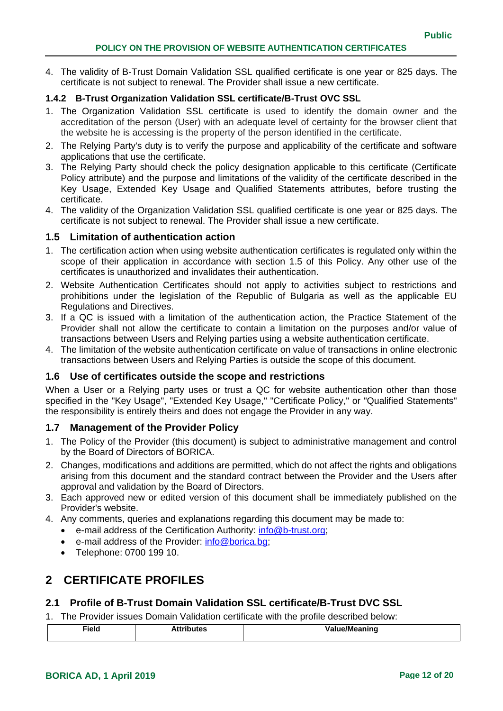4. The validity of B-Trust Domain Validation SSL qualified certificate is one year or 825 days. The certificate is not subject to renewal. The Provider shall issue a new certificate.

#### <span id="page-11-0"></span>**1.4.2 B-Trust Organization Validation SSL certificate/B-Trust OVC SSL**

- 1. The Organization Validation SSL certificate is used to identify the domain owner and the accreditation of the person (User) with an adequate level of certainty for the browser client that the website he is accessing is the property of the person identified in the certificate.
- 2. The Relying Party's duty is to verify the purpose and applicability of the certificate and software applications that use the certificate.
- 3. The Relying Party should check the policy designation applicable to this certificate (Certificate Policy attribute) and the purpose and limitations of the validity of the certificate described in the Key Usage, Extended Key Usage and Qualified Statements attributes, before trusting the certificate.
- 4. The validity of the Organization Validation SSL qualified certificate is one year or 825 days. The certificate is not subject to renewal. The Provider shall issue a new certificate.

#### <span id="page-11-1"></span>**1.5 Limitation of authentication action**

- 1. The certification action when using website authentication certificates is regulated only within the scope of their application in accordance with section 1.5 of this Policy. Any other use of the certificates is unauthorized and invalidates their authentication.
- 2. Website Authentication Certificates should not apply to activities subject to restrictions and prohibitions under the legislation of the Republic of Bulgaria as well as the applicable EU Regulations and Directives.
- 3. If a QC is issued with a limitation of the authentication action, the Practice Statement of the Provider shall not allow the certificate to contain a limitation on the purposes and/or value of transactions between Users and Relying parties using a website authentication certificate.
- 4. The limitation of the website authentication certificate on value of transactions in online electronic transactions between Users and Relying Parties is outside the scope of this document.

#### <span id="page-11-2"></span>**1.6 Use of certificates outside the scope and restrictions**

When a User or a Relying party uses or trust a QC for website authentication other than those specified in the "Key Usage", "Extended Key Usage," "Certificate Policy," or "Qualified Statements" the responsibility is entirely theirs and does not engage the Provider in any way.

#### <span id="page-11-3"></span>**1.7 Management of the Provider Policy**

- 1. The Policy of the Provider (this document) is subject to administrative management and control by the Board of Directors of BORICA.
- 2. Changes, modifications and additions are permitted, which do not affect the rights and obligations arising from this document and the standard contract between the Provider and the Users after approval and validation by the Board of Directors.
- 3. Each approved new or edited version of this document shall be immediately published on the Provider's website.
- 4. Any comments, queries and explanations regarding this document may be made to:
	- **e**-mail address of the Certification Authority: [info@b-trust.org;](mailto:info@b-trust.org)
	- e-mail address of the Provider: [info@borica.bg;](mailto:info@borica.bg)
	- Telephone: 0700 199 10.

# <span id="page-11-4"></span>**2 CERTIFICATE PROFILES**

#### <span id="page-11-5"></span>**2.1 Profile of B-Trust Domain Validation SSL certificate/B-Trust DVC SSL**

1. The Provider issues Domain Validation certificate with the profile described below:

| Field | . | . .<br>--- --<br>. . |
|-------|---|----------------------|
|       |   |                      |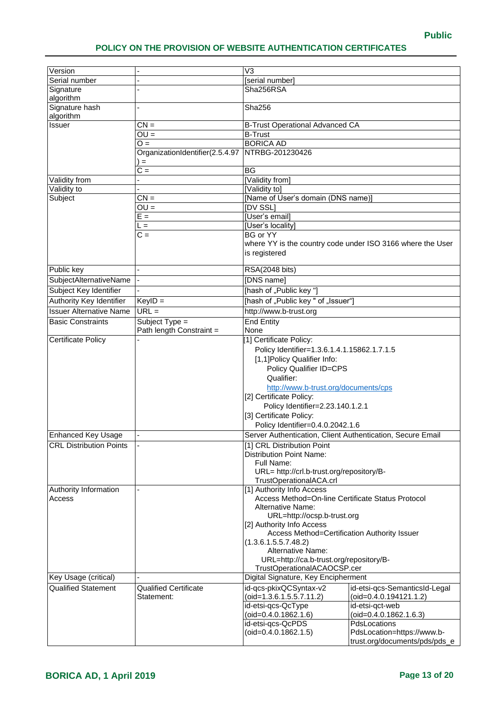| $\overline{V}$ ersion           |                                                                   | $\overline{\mathsf{V3}}$                                                                         |                                                            |  |
|---------------------------------|-------------------------------------------------------------------|--------------------------------------------------------------------------------------------------|------------------------------------------------------------|--|
| Serial number                   |                                                                   | [serial number]                                                                                  |                                                            |  |
| Signature                       |                                                                   | Sha256RSA                                                                                        |                                                            |  |
| algorithm                       |                                                                   |                                                                                                  |                                                            |  |
| Signature hash                  |                                                                   | Sha256                                                                                           |                                                            |  |
| algorithm                       |                                                                   |                                                                                                  |                                                            |  |
| <b>Issuer</b>                   | $CN =$                                                            | <b>B-Trust Operational Advanced CA</b>                                                           |                                                            |  |
|                                 | $OU =$                                                            | <b>B-Trust</b>                                                                                   |                                                            |  |
|                                 | $O =$                                                             | <b>BORICA AD</b>                                                                                 |                                                            |  |
|                                 | OrganizationIdentifier(2.5.4.97<br>$\qquad \qquad =\qquad \qquad$ | NTRBG-201230426                                                                                  |                                                            |  |
|                                 | $C =$                                                             | $\overline{BG}$                                                                                  |                                                            |  |
| Validity from                   |                                                                   | [Validity from]                                                                                  |                                                            |  |
| Validity to                     |                                                                   | [Validity to]                                                                                    |                                                            |  |
| Subject                         | $CN =$                                                            | [Name of User's domain (DNS name)]                                                               |                                                            |  |
|                                 | $OU =$                                                            | <b>IDV SSL</b>                                                                                   |                                                            |  |
|                                 | $E =$                                                             | [User's email]                                                                                   |                                                            |  |
|                                 | L =                                                               | [User's locality]                                                                                |                                                            |  |
|                                 | $C =$                                                             | <b>BG or YY</b>                                                                                  |                                                            |  |
|                                 |                                                                   |                                                                                                  | where YY is the country code under ISO 3166 where the User |  |
|                                 |                                                                   | is registered                                                                                    |                                                            |  |
| Public key                      |                                                                   | RSA(2048 bits)                                                                                   |                                                            |  |
| SubjectAlternativeName          |                                                                   | [DNS name]                                                                                       |                                                            |  |
| Subject Key Identifier          |                                                                   | [hash of "Public key "]                                                                          |                                                            |  |
| Authority Key Identifier        | $KeyID =$                                                         | [hash of "Public key " of "Issuer"]                                                              |                                                            |  |
| <b>Issuer Alternative Name</b>  | $URL =$                                                           | http://www.b-trust.org                                                                           |                                                            |  |
|                                 |                                                                   |                                                                                                  |                                                            |  |
| <b>Basic Constraints</b>        | Subject Type =<br>Path length Constraint =                        | <b>End Entity</b><br>None                                                                        |                                                            |  |
| <b>Certificate Policy</b>       |                                                                   | [1] Certificate Policy:                                                                          |                                                            |  |
|                                 |                                                                   | Policy Identifier=1.3.6.1.4.1.15862.1.7.1.5                                                      |                                                            |  |
|                                 |                                                                   | [1,1]Policy Qualifier Info:                                                                      |                                                            |  |
|                                 |                                                                   | Policy Qualifier ID=CPS                                                                          |                                                            |  |
|                                 |                                                                   | Qualifier:                                                                                       |                                                            |  |
|                                 |                                                                   | http://www.b-trust.org/documents/cps                                                             |                                                            |  |
|                                 |                                                                   | [2] Certificate Policy:                                                                          |                                                            |  |
|                                 |                                                                   | Policy Identifier=2.23.140.1.2.1                                                                 |                                                            |  |
|                                 |                                                                   | [3] Certificate Policy:                                                                          |                                                            |  |
|                                 |                                                                   | Policy Identifier=0.4.0.2042.1.6                                                                 |                                                            |  |
| <b>Enhanced Key Usage</b>       |                                                                   | Server Authentication, Client Authentication, Secure Email                                       |                                                            |  |
| <b>CRL Distribution Points</b>  |                                                                   | [1] CRL Distribution Point                                                                       |                                                            |  |
|                                 |                                                                   | <b>Distribution Point Name:</b><br>Full Name:                                                    |                                                            |  |
|                                 |                                                                   |                                                                                                  |                                                            |  |
|                                 |                                                                   | URL= http://crl.b-trust.org/repository/B-                                                        |                                                            |  |
|                                 |                                                                   | TrustOperationalACA.crl<br>[1] Authority Info Access                                             |                                                            |  |
| Authority Information<br>Access |                                                                   | Access Method=On-line Certificate Status Protocol                                                |                                                            |  |
|                                 |                                                                   | Alternative Name:                                                                                |                                                            |  |
|                                 |                                                                   | URL=http://ocsp.b-trust.org                                                                      |                                                            |  |
|                                 |                                                                   | [2] Authority Info Access                                                                        |                                                            |  |
|                                 |                                                                   | Access Method=Certification Authority Issuer<br>(1.3.6.1.5.5.7.48.2)<br><b>Alternative Name:</b> |                                                            |  |
|                                 |                                                                   |                                                                                                  |                                                            |  |
|                                 |                                                                   |                                                                                                  |                                                            |  |
|                                 |                                                                   | URL=http://ca.b-trust.org/repository/B-                                                          |                                                            |  |
| TrustOperationalACAOCSP.cer     |                                                                   |                                                                                                  |                                                            |  |
| Key Usage (critical)            |                                                                   | Digital Signature, Key Encipherment                                                              |                                                            |  |
| <b>Qualified Statement</b>      | <b>Qualified Certificate</b><br>Statement:                        | id-qcs-pkixQCSyntax-v2<br>(oid=1.3.6.1.5.5.7.11.2)                                               | id-etsi-qcs-SemanticsId-Legal<br>(oid=0.4.0.194121.1.2)    |  |
|                                 |                                                                   | id-etsi-qcs-QcType                                                                               | id-etsi-qct-web                                            |  |
|                                 |                                                                   | (oid=0.4.0.1862.1.6)                                                                             | (oid=0.4.0.1862.1.6.3)                                     |  |
|                                 |                                                                   | id-etsi-qcs-QcPDS                                                                                | PdsLocations                                               |  |
|                                 |                                                                   | $(oid=0.4.0.1862.1.5)$                                                                           | PdsLocation=https://www.b-                                 |  |
|                                 |                                                                   |                                                                                                  | trust.org/documents/pds/pds_e                              |  |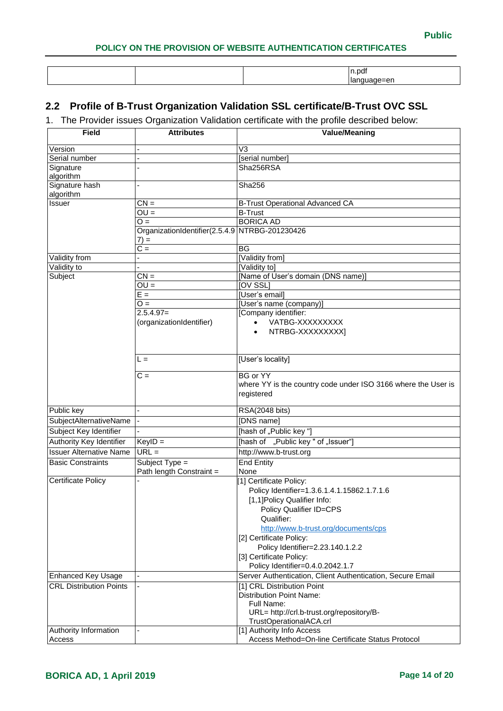|  | . LDdf |
|--|--------|
|  | σr     |

# <span id="page-13-0"></span>**2.2 Profile of B-Trust Organization Validation SSL certificate/B-Trust OVC SSL**

1. The Provider issues Organization Validation certificate with the profile described below:

| <b>Field</b>                   | <b>Attributes</b>                              | <b>Value/Meaning</b>                                          |
|--------------------------------|------------------------------------------------|---------------------------------------------------------------|
|                                |                                                |                                                               |
| Version                        |                                                | V3                                                            |
| Serial number                  |                                                | [serial number]                                               |
| Signature<br>algorithm         |                                                | Sha256RSA                                                     |
| Signature hash                 |                                                | Sha256                                                        |
| algorithm                      |                                                |                                                               |
| Issuer                         | $CN =$                                         | <b>B-Trust Operational Advanced CA</b>                        |
|                                | $OU =$                                         | <b>B-Trust</b>                                                |
|                                | $Q =$                                          | <b>BORICA AD</b>                                              |
|                                | OrganizationIdentifier(2.5.4.9 NTRBG-201230426 |                                                               |
|                                | $7) =$                                         |                                                               |
|                                | $\overline{C}$ =                               | <b>BG</b>                                                     |
| Validity from                  |                                                | [Validity from]                                               |
| Validity to                    |                                                | [Validity to]                                                 |
| Subject                        | $CN =$                                         | [Name of User's domain (DNS name)]                            |
|                                | $OU =$                                         | [OV SSL]                                                      |
|                                | $E =$                                          | [User's email]                                                |
|                                | $O =$                                          | [User's name (company)]                                       |
|                                | $2.5.4.97=$                                    | [Company identifier:                                          |
|                                | (organizationIdentifier)                       | VATBG-XXXXXXXXX<br>$\bullet$                                  |
|                                |                                                | NTRBG-XXXXXXXXXI                                              |
|                                |                                                |                                                               |
|                                |                                                |                                                               |
|                                | L =                                            | [User's locality]                                             |
|                                | $\overline{C}$ =                               | <b>BG</b> or YY                                               |
|                                |                                                | where YY is the country code under ISO 3166 where the User is |
|                                |                                                | registered                                                    |
|                                |                                                |                                                               |
| Public key                     |                                                | RSA(2048 bits)                                                |
| SubjectAlternativeName         |                                                | [DNS name]                                                    |
| Subject Key Identifier         |                                                | [hash of "Public key"]                                        |
| Authority Key Identifier       | $KeyID =$                                      | [hash of "Public key " of "Issuer"]                           |
| <b>Issuer Alternative Name</b> | $URL =$                                        | http://www.b-trust.org                                        |
| <b>Basic Constraints</b>       | Subject $Type =$                               | <b>End Entity</b>                                             |
|                                | Path length Constraint =                       | None                                                          |
| <b>Certificate Policy</b>      |                                                | [1] Certificate Policy:                                       |
|                                |                                                | Policy Identifier=1.3.6.1.4.1.15862.1.7.1.6                   |
|                                |                                                | [1,1]Policy Qualifier Info:                                   |
|                                |                                                | Policy Qualifier ID=CPS                                       |
|                                |                                                | Qualifier:                                                    |
|                                |                                                | http://www.b-trust.org/documents/cps                          |
|                                |                                                | [2] Certificate Policy:                                       |
|                                |                                                | Policy Identifier=2.23.140.1.2.2                              |
|                                |                                                | [3] Certificate Policy:                                       |
|                                |                                                | Policy Identifier=0.4.0.2042.1.7                              |
| <b>Enhanced Key Usage</b>      |                                                | Server Authentication, Client Authentication, Secure Email    |
| <b>CRL Distribution Points</b> |                                                | [1] CRL Distribution Point                                    |
|                                |                                                | <b>Distribution Point Name:</b>                               |
|                                |                                                | Full Name:                                                    |
|                                |                                                | URL= http://crl.b-trust.org/repository/B-                     |
|                                |                                                | TrustOperationalACA.crl                                       |
| Authority Information          |                                                | [1] Authority Info Access                                     |
| Access                         |                                                | Access Method=On-line Certificate Status Protocol             |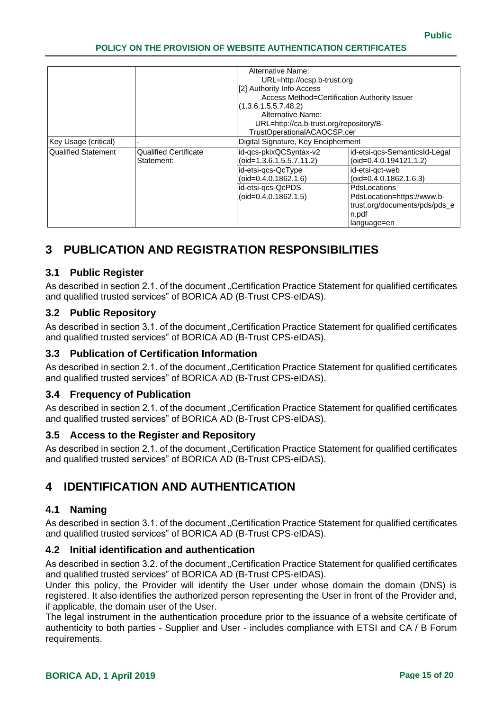|                            |                              | Alternative Name:<br>URL=http://ocsp.b-trust.org<br>[2] Authority Info Access |                               |
|----------------------------|------------------------------|-------------------------------------------------------------------------------|-------------------------------|
|                            |                              | Access Method=Certification Authority Issuer                                  |                               |
|                            |                              | (1.3.6.1.5.5.7.48.2)                                                          |                               |
|                            |                              | Alternative Name:                                                             |                               |
|                            |                              | URL=http://ca.b-trust.org/repository/B-                                       |                               |
|                            | TrustOperationalACAOCSP.cer  |                                                                               |                               |
| Key Usage (critical)       |                              | Digital Signature, Key Encipherment                                           |                               |
| <b>Qualified Statement</b> | <b>Qualified Certificate</b> | id-qcs-pkixQCSyntax-v2                                                        | id-etsi-qcs-SemanticsId-Legal |
|                            | Statement:                   | $(oid=1.3.6.1.5.5.7.11.2)$                                                    | $(oid=0.4.0.194121.1.2)$      |
|                            |                              | id-etsi-gcs-QcType                                                            | id-etsi-qct-web               |
|                            |                              | $(oid=0.4.0.1862.1.6)$                                                        | $(oid=0.4.0.1862.1.6.3)$      |
|                            |                              | id-etsi-gcs-QcPDS                                                             | <b>PdsLocations</b>           |
|                            |                              | $(oid=0.4.0.1862.1.5)$                                                        | PdsLocation=https://www.b-    |
|                            |                              |                                                                               | trust.org/documents/pds/pds_e |
|                            |                              |                                                                               | n.pdf                         |
|                            |                              |                                                                               | language=en                   |

# <span id="page-14-0"></span>**3 PUBLICATION AND REGISTRATION RESPONSIBILITIES**

### <span id="page-14-1"></span>**3.1 Public Register**

As described in section 2.1. of the document "Certification Practice Statement for qualified certificates and qualified trusted services" of BORICA AD (B-Trust CPS-eIDAS).

### <span id="page-14-2"></span>**3.2 Public Repository**

As described in section 3.1. of the document "Certification Practice Statement for qualified certificates and qualified trusted services" of BORICA AD (B-Trust CPS-eIDAS).

### <span id="page-14-3"></span>**3.3 Publication of Certification Information**

As described in section 2.1. of the document "Certification Practice Statement for qualified certificates and qualified trusted services" of BORICA AD (B-Trust CPS-eIDAS).

# <span id="page-14-4"></span>**3.4 Frequency of Publication**

As described in section 2.1. of the document "Certification Practice Statement for qualified certificates and qualified trusted services" of BORICA AD (B-Trust CPS-eIDAS).

#### <span id="page-14-5"></span>**3.5 Access to the Register and Repository**

As described in section 2.1. of the document "Certification Practice Statement for qualified certificates and qualified trusted services" of BORICA AD (B-Trust CPS-eIDAS).

# <span id="page-14-6"></span>**4 IDENTIFICATION AND AUTHENTICATION**

#### <span id="page-14-7"></span>**4.1 Naming**

As described in section 3.1. of the document "Certification Practice Statement for qualified certificates and qualified trusted services" of BORICA AD (B-Trust CPS-eIDAS).

#### <span id="page-14-8"></span>**4.2 Initial identification and authentication**

As described in section 3.2. of the document "Certification Practice Statement for qualified certificates and qualified trusted services" of BORICA AD (B-Trust CPS-eIDAS).

Under this policy, the Provider will identify the User under whose domain the domain (DNS) is registered. It also identifies the authorized person representing the User in front of the Provider and, if applicable, the domain user of the User.

The legal instrument in the authentication procedure prior to the issuance of a website certificate of authenticity to both parties - Supplier and User - includes compliance with ETSI and CA / B Forum requirements.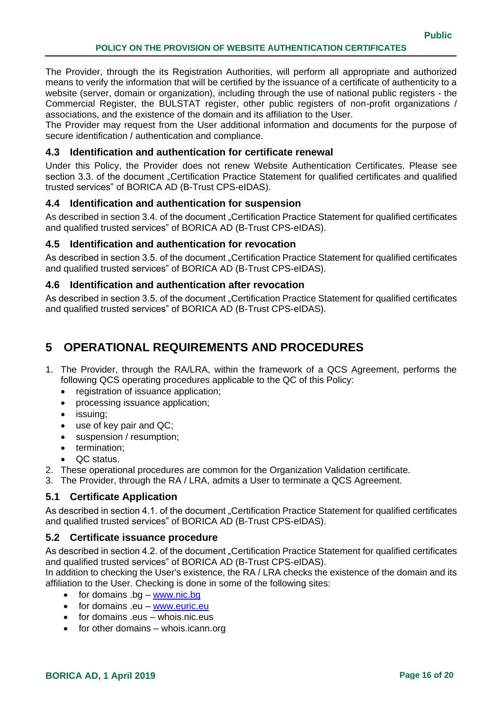The Provider, through the its Registration Authorities, will perform all appropriate and authorized means to verify the information that will be certified by the issuance of a certificate of authenticity to a website (server, domain or organization), including through the use of national public registers - the Commercial Register, the BULSTAT register, other public registers of non-profit organizations / associations, and the existence of the domain and its affiliation to the User.

The Provider may request from the User additional information and documents for the purpose of secure identification / authentication and compliance.

### <span id="page-15-0"></span>**4.3 Identification and authentication for certificate renewal**

Under this Policy, the Provider does not renew Website Authentication Certificates. Please see section 3.3. of the document "Certification Practice Statement for qualified certificates and qualified trusted services" of BORICA AD (B-Trust CPS-eIDAS).

# <span id="page-15-1"></span>**4.4 Identification and authentication for suspension**

As described in section 3.4. of the document "Certification Practice Statement for qualified certificates and qualified trusted services" of BORICA AD (B-Trust CPS-eIDAS).

### <span id="page-15-2"></span>**4.5 Identification and authentication for revocation**

As described in section 3.5. of the document "Certification Practice Statement for qualified certificates and qualified trusted services" of BORICA AD (B-Trust CPS-eIDAS).

### <span id="page-15-3"></span>**4.6 Identification and authentication after revocation**

As described in section 3.5. of the document "Certification Practice Statement for qualified certificates and qualified trusted services" of BORICA AD (B-Trust CPS-eIDAS).

# <span id="page-15-4"></span>**5 OPERATIONAL REQUIREMENTS AND PROCEDURES**

- 1. The Provider, through the RA/LRA, within the framework of a QCS Agreement, performs the following QCS operating procedures applicable to the QC of this Policy:
	- registration of issuance application;
	- processing issuance application:
	- issuing;
	- use of key pair and QC;
	- suspension / resumption;
	- termination:
	- QC status.
- 2. These operational procedures are common for the Organization Validation certificate.
- 3. The Provider, through the RA / LRA, admits a User to terminate a QCS Agreement.

# <span id="page-15-5"></span>**5.1 Certificate Application**

As described in section 4.1. of the document "Certification Practice Statement for qualified certificates and qualified trusted services" of BORICA AD (B-Trust CPS-eIDAS).

# <span id="page-15-6"></span>**5.2 Certificate issuance procedure**

As described in section 4.2. of the document "Certification Practice Statement for qualified certificates and qualified trusted services" of BORICA AD (B-Trust CPS-eIDAS).

In addition to checking the User's existence, the RA / LRA checks the existence of the domain and its affiliation to the User. Checking is done in some of the following sites:

- $\bullet$  for domains .bg [www.nic.bg](http://www.nic.bg/)
- for domains .eu [www.euric.eu](http://www.euric.eu/)
- for domains .eus whois.nic.eus
- $\bullet$  for other domains whois.icann.org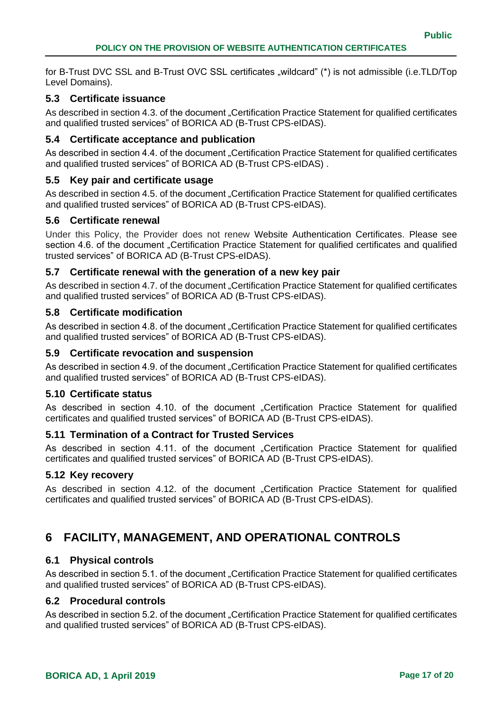for B-Trust DVC SSL and B-Trust OVC SSL certificates .wildcard" (\*) is not admissible (i.e.TLD/Top Level Domains).

### <span id="page-16-0"></span>**5.3 Certificate issuance**

As described in section 4.3. of the document "Certification Practice Statement for qualified certificates and qualified trusted services" of BORICA AD (B-Trust CPS-eIDAS).

### <span id="page-16-1"></span>**5.4 Certificate acceptance and publication**

As described in section 4.4. of the document "Certification Practice Statement for qualified certificates and qualified trusted services" of BORICA AD (B-Trust CPS-eIDAS) .

#### <span id="page-16-2"></span>**5.5 Key pair and certificate usage**

As described in section 4.5. of the document "Certification Practice Statement for qualified certificates and qualified trusted services" of BORICA AD (B-Trust CPS-eIDAS).

#### <span id="page-16-3"></span>**5.6 Certificate renewal**

Under this Policy, the Provider does not renew Website Authentication Certificates. Please see section 4.6. of the document "Certification Practice Statement for qualified certificates and qualified trusted services" of BORICA AD (B-Trust CPS-eIDAS).

#### <span id="page-16-4"></span>**5.7 Certificate renewal with the generation of a new key pair**

As described in section 4.7. of the document "Certification Practice Statement for qualified certificates and qualified trusted services" of BORICA AD (B-Trust CPS-eIDAS).

#### <span id="page-16-5"></span>**5.8 Certificate modification**

As described in section 4.8. of the document "Certification Practice Statement for qualified certificates and qualified trusted services" of BORICA AD (B-Trust CPS-eIDAS).

#### <span id="page-16-6"></span>**5.9 Certificate revocation and suspension**

As described in section 4.9. of the document "Certification Practice Statement for qualified certificates and qualified trusted services" of BORICA AD (B-Trust CPS-eIDAS).

#### <span id="page-16-7"></span>**5.10 Certificate status**

As described in section 4.10. of the document "Certification Practice Statement for qualified certificates and qualified trusted services" of BORICA AD (B-Trust CPS-eIDAS).

#### <span id="page-16-8"></span>**5.11 Termination of a Contract for Trusted Services**

As described in section 4.11. of the document "Certification Practice Statement for qualified certificates and qualified trusted services" of BORICA AD (B-Trust CPS-eIDAS).

#### <span id="page-16-9"></span>**5.12 Key recovery**

As described in section 4.12. of the document "Certification Practice Statement for qualified certificates and qualified trusted services" of BORICA AD (B-Trust CPS-eIDAS).

# <span id="page-16-10"></span>**6 FACILITY, MANAGEMENT, AND OPERATIONAL CONTROLS**

### <span id="page-16-11"></span>**6.1 Physical controls**

As described in section 5.1. of the document "Certification Practice Statement for qualified certificates and qualified trusted services" of BORICA AD (B-Trust CPS-eIDAS).

#### <span id="page-16-12"></span>**6.2 Procedural controls**

As described in section 5.2. of the document "Certification Practice Statement for qualified certificates and qualified trusted services" of BORICA AD (B-Trust CPS-eIDAS).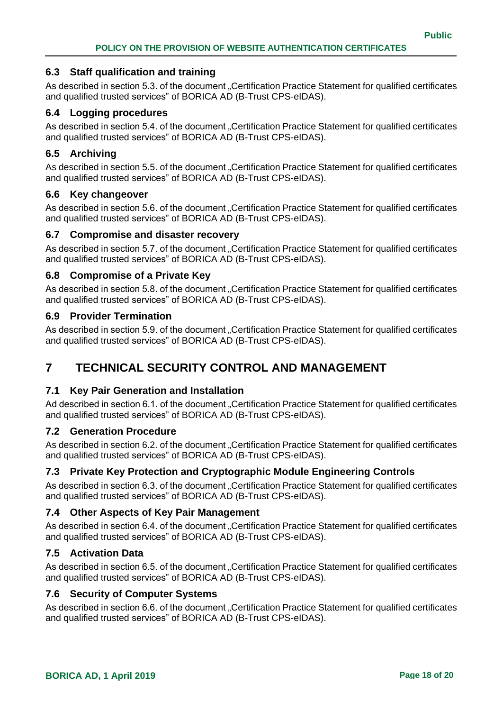### <span id="page-17-0"></span>**6.3 Staff qualification and training**

As described in section 5.3. of the document "Certification Practice Statement for qualified certificates and qualified trusted services" of BORICA AD (B-Trust CPS-eIDAS).

### <span id="page-17-1"></span>**6.4 Logging procedures**

As described in section 5.4. of the document "Certification Practice Statement for qualified certificates and qualified trusted services" of BORICA AD (B-Trust CPS-eIDAS).

### <span id="page-17-2"></span>**6.5 Archiving**

As described in section 5.5. of the document "Certification Practice Statement for qualified certificates and qualified trusted services" of BORICA AD (B-Trust CPS-eIDAS).

#### <span id="page-17-3"></span>**6.6 Key changeover**

As described in section 5.6. of the document "Certification Practice Statement for qualified certificates and qualified trusted services" of BORICA AD (B-Trust CPS-eIDAS).

#### <span id="page-17-4"></span>**6.7 Compromise and disaster recovery**

As described in section 5.7. of the document "Certification Practice Statement for qualified certificates and qualified trusted services" of BORICA AD (B-Trust CPS-eIDAS).

### <span id="page-17-5"></span>**6.8 Compromise of a Private Key**

As described in section 5.8. of the document "Certification Practice Statement for qualified certificates and qualified trusted services" of BORICA AD (B-Trust CPS-eIDAS).

#### <span id="page-17-6"></span>**6.9 Provider Termination**

As described in section 5.9. of the document "Certification Practice Statement for qualified certificates and qualified trusted services" of BORICA AD (B-Trust CPS-eIDAS).

# <span id="page-17-7"></span>**7 TECHNICAL SECURITY CONTROL AND MANAGEMENT**

#### <span id="page-17-8"></span>**7.1 Key Pair Generation and Installation**

Ad described in section 6.1. of the document "Certification Practice Statement for qualified certificates and qualified trusted services" of BORICA AD (B-Trust CPS-eIDAS).

#### <span id="page-17-9"></span>**7.2 Generation Procedure**

As described in section 6.2. of the document "Certification Practice Statement for qualified certificates and qualified trusted services" of BORICA AD (B-Trust CPS-eIDAS).

# <span id="page-17-10"></span>**7.3 Private Key Protection and Cryptographic Module Engineering Controls**

As described in section 6.3. of the document "Certification Practice Statement for qualified certificates and qualified trusted services" of BORICA AD (B-Trust CPS-eIDAS).

#### <span id="page-17-11"></span>**7.4 Other Aspects of Key Pair Management**

As described in section 6.4. of the document "Certification Practice Statement for qualified certificates and qualified trusted services" of BORICA AD (B-Trust CPS-eIDAS).

#### <span id="page-17-12"></span>**7.5 Activation Data**

As described in section 6.5. of the document "Certification Practice Statement for qualified certificates and qualified trusted services" of BORICA AD (B-Trust CPS-eIDAS).

#### <span id="page-17-13"></span>**7.6 Security of Computer Systems**

As described in section 6.6. of the document "Certification Practice Statement for qualified certificates and qualified trusted services" of BORICA AD (B-Trust CPS-eIDAS).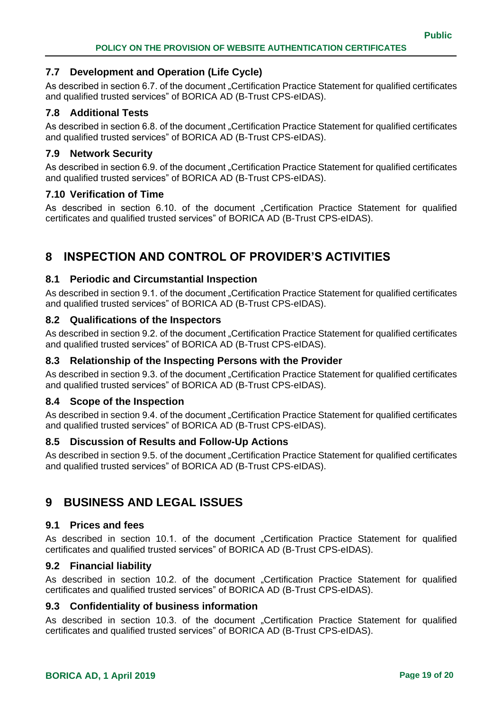# <span id="page-18-0"></span>**7.7 Development and Operation (Life Cycle)**

As described in section 6.7. of the document "Certification Practice Statement for qualified certificates and qualified trusted services" of BORICA AD (B-Trust CPS-eIDAS).

# <span id="page-18-1"></span>**7.8 Additional Tests**

As described in section 6.8. of the document "Certification Practice Statement for qualified certificates and qualified trusted services" of BORICA AD (B-Trust CPS-eIDAS).

# <span id="page-18-2"></span>**7.9 Network Security**

As described in section 6.9. of the document "Certification Practice Statement for qualified certificates and qualified trusted services" of BORICA AD (B-Trust CPS-eIDAS).

# <span id="page-18-3"></span>**7.10 Verification of Time**

As described in section 6.10. of the document "Certification Practice Statement for qualified certificates and qualified trusted services" of BORICA AD (B-Trust CPS-eIDAS).

# <span id="page-18-4"></span>**8 INSPECTION AND CONTROL OF PROVIDER'S ACTIVITIES**

# <span id="page-18-5"></span>**8.1 Periodic and Circumstantial Inspection**

As described in section 9.1. of the document "Certification Practice Statement for qualified certificates and qualified trusted services" of BORICA AD (B-Trust CPS-eIDAS).

# <span id="page-18-6"></span>**8.2 Qualifications of the Inspectors**

As described in section 9.2. of the document "Certification Practice Statement for qualified certificates" and qualified trusted services" of BORICA AD (B-Trust CPS-eIDAS).

# <span id="page-18-7"></span>**8.3 Relationship of the Inspecting Persons with the Provider**

As described in section 9.3. of the document "Certification Practice Statement for qualified certificates and qualified trusted services" of BORICA AD (B-Trust CPS-eIDAS).

# <span id="page-18-8"></span>**8.4 Scope of the Inspection**

As described in section 9.4. of the document "Certification Practice Statement for qualified certificates and qualified trusted services" of BORICA AD (B-Trust CPS-eIDAS).

# <span id="page-18-9"></span>**8.5 Discussion of Results and Follow-Up Actions**

As described in section 9.5. of the document "Certification Practice Statement for qualified certificates and qualified trusted services" of BORICA AD (B-Trust CPS-eIDAS).

# <span id="page-18-10"></span>**9 BUSINESS AND LEGAL ISSUES**

#### <span id="page-18-11"></span>**9.1 Prices and fees**

As described in section 10.1. of the document "Certification Practice Statement for qualified certificates and qualified trusted services" of BORICA AD (B-Trust CPS-eIDAS).

# <span id="page-18-12"></span>**9.2 Financial liability**

As described in section 10.2. of the document "Certification Practice Statement for qualified certificates and qualified trusted services" of BORICA AD (B-Trust CPS-eIDAS).

#### <span id="page-18-13"></span>**9.3 Confidentiality of business information**

As described in section 10.3. of the document "Certification Practice Statement for qualified certificates and qualified trusted services" of BORICA AD (B-Trust CPS-eIDAS).